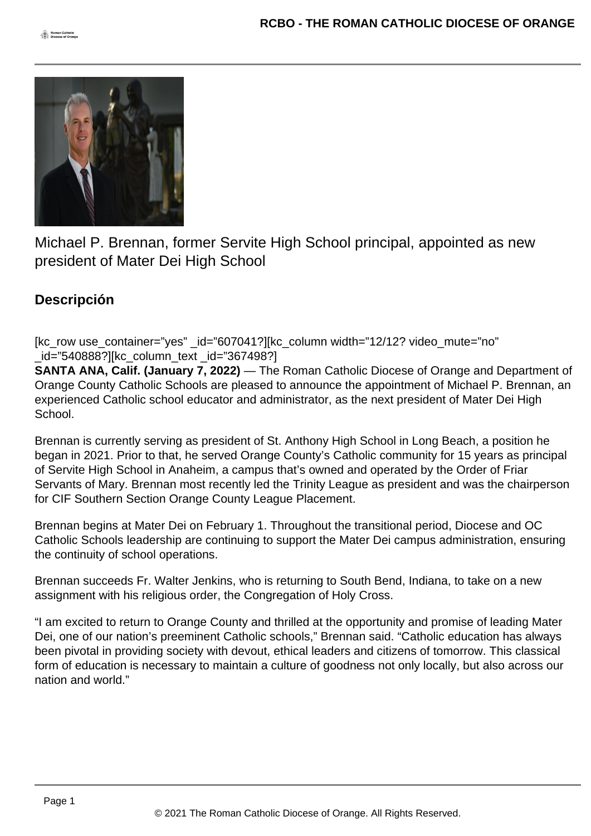

Michael P. Brennan, former Servite High School principal, appointed as new president of Mater Dei High School

## **Descripción**

[kc\_row use\_container="yes" id="607041?][kc\_column width="12/12? video\_mute="no" \_id="540888?][kc\_column\_text \_id="367498?]

**SANTA ANA, Calif. (January 7, 2022)** — The Roman Catholic Diocese of Orange and Department of Orange County Catholic Schools are pleased to announce the appointment of Michael P. Brennan, an experienced Catholic school educator and administrator, as the next president of Mater Dei High School.

Brennan is currently serving as president of St. Anthony High School in Long Beach, a position he began in 2021. Prior to that, he served Orange County's Catholic community for 15 years as principal of Servite High School in Anaheim, a campus that's owned and operated by the Order of Friar Servants of Mary. Brennan most recently led the Trinity League as president and was the chairperson for CIF Southern Section Orange County League Placement.

Brennan begins at Mater Dei on February 1. Throughout the transitional period, Diocese and OC Catholic Schools leadership are continuing to support the Mater Dei campus administration, ensuring the continuity of school operations.

Brennan succeeds Fr. Walter Jenkins, who is returning to South Bend, Indiana, to take on a new assignment with his religious order, the Congregation of Holy Cross.

"I am excited to return to Orange County and thrilled at the opportunity and promise of leading Mater Dei, one of our nation's preeminent Catholic schools," Brennan said. "Catholic education has always been pivotal in providing society with devout, ethical leaders and citizens of tomorrow. This classical form of education is necessary to maintain a culture of goodness not only locally, but also across our nation and world."